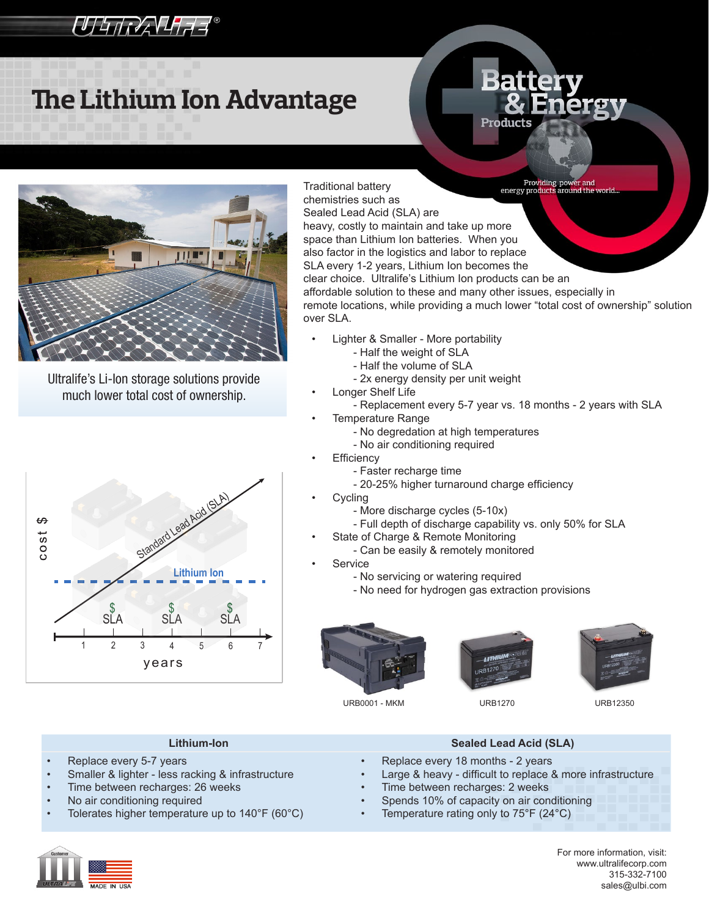## **UTHINAVHAF®**

# **The Lithium Ion Advantage**

# Products



Ultralife's Li-Ion storage solutions provide much lower total cost of ownership.



Providing power and<br>energy products around the world Traditional battery chemistries such as Sealed Lead Acid (SLA) are heavy, costly to maintain and take up more space than Lithium Ion batteries. When you also factor in the logistics and labor to replace SLA every 1-2 years, Lithium Ion becomes the clear choice. Ultralife's Lithium Ion products can be an affordable solution to these and many other issues, especially in remote locations, while providing a much lower "total cost of ownership" solution over SLA.

- Lighter & Smaller More portability
	- Half the weight of SLA
	- Half the volume of SLA
	- 2x energy density per unit weight
- Longer Shelf Life
	- Replacement every 5-7 year vs. 18 months 2 years with SLA **Temperature Range** 
		- No degredation at high temperatures
		- No air conditioning required
	- **Efficiency** 
		- Faster recharge time
		- 20-25% higher turnaround charge efficiency
- **Cycling** 
	- More discharge cycles (5-10x)
	- Full depth of discharge capability vs. only 50% for SLA
- State of Charge & Remote Monitoring
	- Can be easily & remotely monitored
- **Service** 
	- No servicing or watering required
	- No need for hydrogen gas extraction provisions









- Replace every 5-7 years
- Smaller & lighter less racking & infrastructure
- Time between recharges: 26 weeks
- No air conditioning required
- Tolerates higher temperature up to  $140^{\circ}F(60^{\circ}C)$



- Replace every 18 months 2 years
- Large & heavy difficult to replace & more infrastructure
- Time between recharges: 2 weeks
- Spends 10% of capacity on air conditioning
- Temperature rating only to  $75^{\circ}F(24^{\circ}C)$



For more information, visit: www.ultralifecorp.com 315-332-7100 sales@ulbi.com

URB0001 - MKM URB1270 URB12350